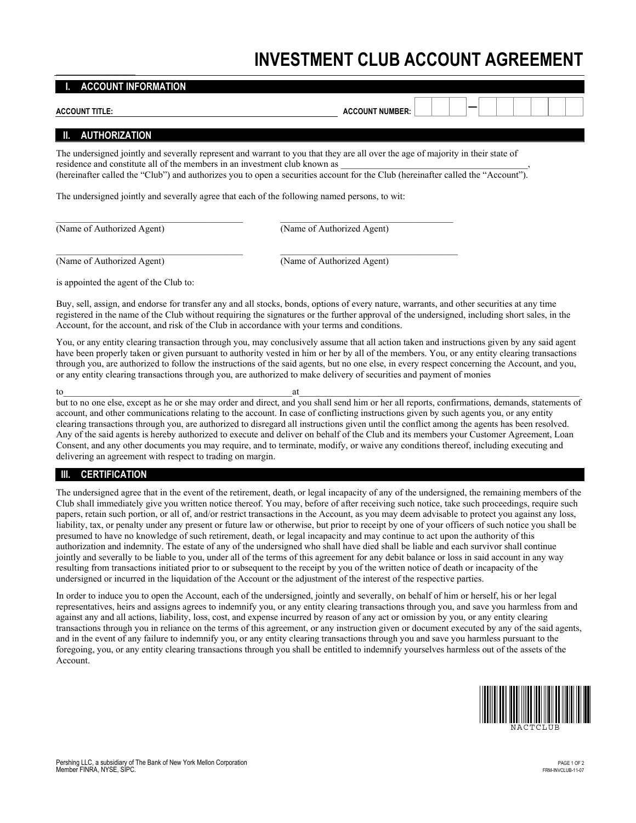## **INVESTMENT CLUB ACCOUNT AGREEMENT**

| <b>ACCOUNT INFORMATION</b>                                                 |                                                                                                                                                                                                                                                                                                                                                                      |
|----------------------------------------------------------------------------|----------------------------------------------------------------------------------------------------------------------------------------------------------------------------------------------------------------------------------------------------------------------------------------------------------------------------------------------------------------------|
| <b>ACCOUNT TITLE:</b>                                                      | <b>ACCOUNT NUMBER:</b>                                                                                                                                                                                                                                                                                                                                               |
| $\blacksquare$<br><b>AUTHORIZATION</b>                                     |                                                                                                                                                                                                                                                                                                                                                                      |
| residence and constitute all of the members in an investment club known as | The undersigned jointly and severally represent and warrant to you that they are all over the age of majority in their state of<br>(hereinafter called the "Club") and authorizes you to open a securities account for the Club (hereinafter called the "Account").<br>The undersigned jointly and severally agree that each of the following named persons, to wit: |
| (Name of Authorized Agent)                                                 | (Name of Authorized Agent)                                                                                                                                                                                                                                                                                                                                           |
| (Name of Authorized Agent)                                                 | (Name of Authorized Agent)                                                                                                                                                                                                                                                                                                                                           |

is appointed the agent of the Club to:

Buy, sell, assign, and endorse for transfer any and all stocks, bonds, options of every nature, warrants, and other securities at any time registered in the name of the Club without requiring the signatures or the further approval of the undersigned, including short sales, in the Account, for the account, and risk of the Club in accordance with your terms and conditions.

You, or any entity clearing transaction through you, may conclusively assume that all action taken and instructions given by any said agent have been properly taken or given pursuant to authority vested in him or her by all of the members. You, or any entity clearing transactions through you, are authorized to follow the instructions of the said agents, but no one else, in every respect concerning the Account, and you, or any entity clearing transactions through you, are authorized to make delivery of securities and payment of monies

to the state of the state of  $\mathfrak{a}$  at  $\mathfrak{a}$  at  $\mathfrak{a}$ but to no one else, except as he or she may order and direct, and you shall send him or her all reports, confirmations, demands, statements of account, and other communications relating to the account. In case of conflicting instructions given by such agents you, or any entity clearing transactions through you, are authorized to disregard all instructions given until the conflict among the agents has been resolved. Any of the said agents is hereby authorized to execute and deliver on behalf of the Club and its members your Customer Agreement, Loan Consent, and any other documents you may require, and to terminate, modify, or waive any conditions thereof, including executing and delivering an agreement with respect to trading on margin.

## **III. CERTIFICATION**

The undersigned agree that in the event of the retirement, death, or legal incapacity of any of the undersigned, the remaining members of the Club shall immediately give you written notice thereof. You may, before of after receiving such notice, take such proceedings, require such papers, retain such portion, or all of, and/or restrict transactions in the Account, as you may deem advisable to protect you against any loss, liability, tax, or penalty under any present or future law or otherwise, but prior to receipt by one of your officers of such notice you shall be presumed to have no knowledge of such retirement, death, or legal incapacity and may continue to act upon the authority of this authorization and indemnity. The estate of any of the undersigned who shall have died shall be liable and each survivor shall continue jointly and severally to be liable to you, under all of the terms of this agreement for any debit balance or loss in said account in any way resulting from transactions initiated prior to or subsequent to the receipt by you of the written notice of death or incapacity of the undersigned or incurred in the liquidation of the Account or the adjustment of the interest of the respective parties.

In order to induce you to open the Account, each of the undersigned, jointly and severally, on behalf of him or herself, his or her legal representatives, heirs and assigns agrees to indemnify you, or any entity clearing transactions through you, and save you harmless from and against any and all actions, liability, loss, cost, and expense incurred by reason of any act or omission by you, or any entity clearing transactions through you in reliance on the terms of this agreement, or any instruction given or document executed by any of the said agents, and in the event of any failure to indemnify you, or any entity clearing transactions through you and save you harmless pursuant to the foregoing, you, or any entity clearing transactions through you shall be entitled to indemnify yourselves harmless out of the assets of the Account.